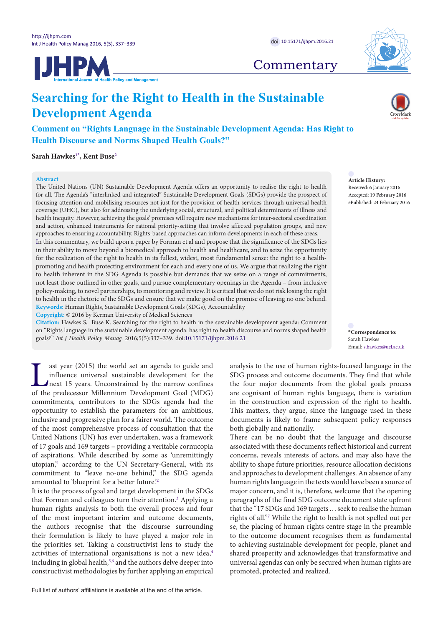



# **Commentary**

# **Searching for the Right to Health in the Sustainable Development Agenda**

**Comment on "Rights Language in the Sustainable Development Agenda: Has Right to Health Discourse and Norms Shaped Health Goals?"**

**Sarah Hawke[s1](#page-2-0)[\\*](#page-0-0) , Kent Bus[e2](#page-2-1)**

## **Abstract**



**Article History:** Received: 6 January 2016 Accepted: 19 February 2016 ePublished: 24 February 2016

focusing attention and mobilising resources not just for the provision of health services through universal health coverage (UHC), but also for addressing the underlying social, structural, and political determinants of illness and health inequity. However, achieving the goals' promises will require new mechanisms for inter-sectoral coordination and action, enhanced instruments for rational priority-setting that involve affected population groups, and new approaches to ensuring accountability. Rights-based approaches can inform developments in each of these areas. In this commentary, we build upon a paper by Forman et al and propose that the significance of the SDGs lies in their ability to move beyond a biomedical approach to health and healthcare, and to seize the opportunity for the realization of the right to health in its fullest, widest, most fundamental sense: the right to a healthpromoting and health protecting environment for each and every one of us. We argue that realizing the right to health inherent in the SDG Agenda is possible but demands that we seize on a range of commitments, not least those outlined in other goals, and pursue complementary openings in the Agenda – from inclusive policy-making, to novel partnerships, to monitoring and review. It is critical that we do not risk losing the right to health in the rhetoric of the SDGs and ensure that we make good on the promise of leaving no one behind. **Keywords:** Human Rights, Sustainable Development Goals (SDGs), Accountability

The United Nations (UN) Sustainable Development Agenda offers an opportunity to realise the right to health for all. The Agenda's "interlinked and integrated" Sustainable Development Goals (SDGs) provide the prospect of

**Copyright:** © 2016 by Kerman University of Medical Sciences

**Citation:** Hawkes S, Buse K. Searching for the right to health in the sustainable development agenda: Comment on "Rights language in the sustainable development agenda: has right to health discourse and norms shaped health on "Rights language in the sustainable development agenda: has right to health discourse and norms shaped health \***Correspondence to:**<br>goals?" *Int J Health Policy Manag*. 2016;5(5):337–339. doi:[10.15171/ijhpm.2016.21](http://dx.doi.org/10.15171/ijhpm.2016.21) *Sa* 

ast year (2015) the world set an agenda to guide and influence universal sustainable development for the next 15 years. Unconstrained by the narrow confines of the predecessor Millennium Development Goal (MDG) commitments, contributors to the SDGs agenda had the opportunity to establish the parameters for an ambitious, inclusive and progressive plan for a fairer world. The outcome of the most comprehensive process of consultation that the United Nations (UN) has ever undertaken, was a framework of 17 goals and 169 targets – providing a veritable cornucopia of aspirations. While described by some as 'unremittingly utopian,['1](#page-2-2) according to the UN Secretary-General, with its commitment to "leave no-one behind," the SDG agenda amounted to 'blueprint for a better future.'[2](#page-2-3)

It is to the process of goal and target development in the SDGs that Forman and colleagues turn their attention.<sup>3</sup> Applying a human rights analysis to both the overall process and four of the most important interim and outcome documents, the authors recognise that the discourse surrounding their formulation is likely to have played a major role in the priorities set. Taking a constructivist lens to study the activities of international organisations is not a new idea,<sup>[4](#page-2-5)</sup> including in global health,<sup>5[,6](#page-2-7)</sup> and the authors delve deeper into constructivist methodologies by further applying an empirical <span id="page-0-0"></span>Sarah Hawkes Email: s.hawkes@ucl.ac.uk

analysis to the use of human rights-focused language in the SDG process and outcome documents. They find that while the four major documents from the global goals process are cognisant of human rights language, there is variation in the construction and expression of the right to health. This matters, they argue, since the language used in these documents is likely to frame subsequent policy responses both globally and nationally.

There can be no doubt that the language and discourse associated with these documents reflect historical and current concerns, reveals interests of actors, and may also have the ability to shape future priorities, resource allocation decisions and approaches to development challenges. An absence of any human rights language in the texts would have been a source of major concern, and it is, therefore, welcome that the opening paragraphs of the final SDG outcome document state upfront that the "17 SDGs and 169 targets…seek to realise the human rights of all."[7](#page-2-8) While the right to health is not spelled out per se, the placing of human rights centre stage in the preamble to the outcome document recognises them as fundamental to achieving sustainable development for people, planet and shared prosperity and acknowledges that transformative and universal agendas can only be secured when human rights are promoted, protected and realized.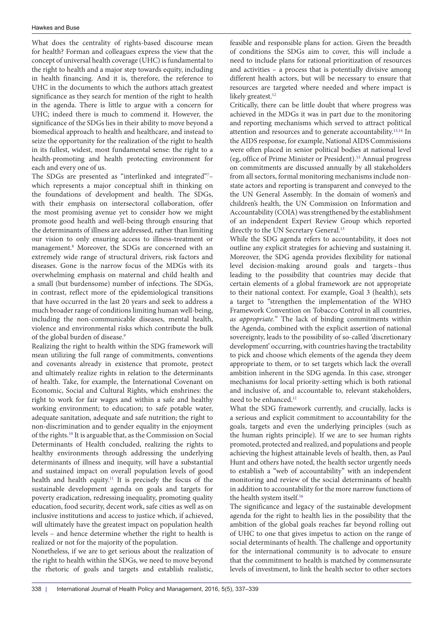What does the centrality of rights-based discourse mean for health? Forman and colleagues express the view that the concept of universal health coverage (UHC) is fundamental to the right to health and a major step towards equity, including in health financing. And it is, therefore, the reference to UHC in the documents to which the authors attach greatest significance as they search for mention of the right to health in the agenda. There is little to argue with a concern for UHC; indeed there is much to commend it. However, the significance of the SDGs lies in their ability to move beyond a biomedical approach to health and healthcare, and instead to seize the opportunity for the realization of the right to health in its fullest, widest, most fundamental sense: the right to a health-promoting and health protecting environment for each and every one of us.

The SDGs are presented as "interlinked and integrated"<sup>7</sup>which represents a major conceptual shift in thinking on the foundations of development and health. The SDGs, with their emphasis on intersectoral collaboration, offer the most promising avenue yet to consider how we might promote good health and well-being through ensuring that the determinants of illness are addressed, rather than limiting our vision to only ensuring access to illness-treatment or management.[8](#page-2-9) Moreover, the SDGs are concerned with an extremely wide range of structural drivers, risk factors and diseases. Gone is the narrow focus of the MDGs with its overwhelming emphasis on maternal and child health and a small (but burdensome) number of infections. The SDGs, in contrast, reflect more of the epidemiological transitions that have occurred in the last 20 years and seek to address a much broader range of conditions limiting human well-being, including the non-communicable diseases, mental health, violence and environmental risks which contribute the bulk of the global burden of disease.<sup>9</sup>

Realizing the right to health within the SDG framework will mean utilizing the full range of commitments, conventions and covenants already in existence that promote, protect and ultimately realize rights in relation to the determinants of health. Take, for example, the International Covenant on Economic, Social and Cultural Rights, which enshrines: the right to work for fair wages and within a safe and healthy working environment; to education; to safe potable water, adequate sanitation, adequate and safe nutrition; the right to non-discrimination and to gender equality in the enjoyment of the rights[.10](#page-2-11) It is arguable that, as the Commission on Social Determinants of Health concluded, realizing the rights to healthy environments through addressing the underlying determinants of illness and inequity, will have a substantial and sustained impact on overall population levels of good health and health equity.<sup>11</sup> It is precisely the focus of the sustainable development agenda on goals and targets for poverty eradication, redressing inequality, promoting quality education, food security, decent work, safe cities as well as on inclusive institutions and access to justice which, if achieved, will ultimately have the greatest impact on population health levels – and hence determine whether the right to health is realized or not for the majority of the population.

Nonetheless, if we are to get serious about the realization of the right to health within the SDGs, we need to move beyond the rhetoric of goals and targets and establish realistic,

feasible and responsible plans for action. Given the breadth of conditions the SDGs aim to cover, this will include a need to include plans for rational prioritization of resources and activities – a process that is potentially divisive among different health actors, but will be necessary to ensure that resources are targeted where needed and where impact is likely greatest.<sup>[12](#page-2-13)</sup>

Critically, there can be little doubt that where progress was achieved in the MDGs it was in part due to the monitoring and reporting mechanisms which served to attract political attention and resources and to generate accountability.[13](#page-2-14),[14](#page-2-15) In the AIDS response, for example, National AIDS Commissions were often placed in senior political bodies at national level (eg, office of Prime Minister or President).[15](#page-2-16) Annual progress on commitments are discussed annually by all stakeholders from all sectors, formal monitoring mechanisms include nonstate actors and reporting is transparent and conveyed to the the UN General Assembly. In the domain of women's and children's health, the UN Commission on Information and Accountability (COIA) was strengthened by the establishment of an independent Expert Review Group which reported directly to the UN Secretary General.<sup>13</sup>

While the SDG agenda refers to accountability, it does not outline any explicit strategies for achieving and sustaining it. Moreover, the SDG agenda provides flexibility for national level decision-making around goals and targets–thus leading to the possibility that countries may decide that certain elements of a global framework are not appropriate to their national context. For example, Goal 3 (health), sets a target to "strengthen the implementation of the WHO Framework Convention on Tobacco Control in all countries, *as appropriate.*" The lack of binding commitments within the Agenda, combined with the explicit assertion of national sovereignty, leads to the possibility of so-called 'discretionary development' occurring, with countries having the tractability to pick and choose which elements of the agenda they deem appropriate to them, or to set targets which lack the overall ambition inherent in the SDG agenda. In this case, stronger mechanisms for local priority-setting which is both rational and inclusive of, and accountable to, relevant stakeholders, need to be enhanced.<sup>11</sup>

What the SDG framework currently, and crucially, lacks is a serious and explicit commitment to accountability for the goals, targets and even the underlying principles (such as the human rights principle). If we are to see human rights promoted, protected and realized, and populations and people achieving the highest attainable levels of health, then, as Paul Hunt and others have noted, the health sector urgently needs to establish a "web of accountability" with an independent monitoring and review of the social determinants of health in addition to accountability for the more narrow functions of the health system itself.<sup>[16](#page-2-17)</sup>

The significance and legacy of the sustainable development agenda for the right to health lies in the possibility that the ambition of the global goals reaches far beyond rolling out of UHC to one that gives impetus to action on the range of social determinants of health. The challenge and opportunity for the international community is to advocate to ensure that the commitment to health is matched by commensurate levels of investment, to link the health sector to other sectors